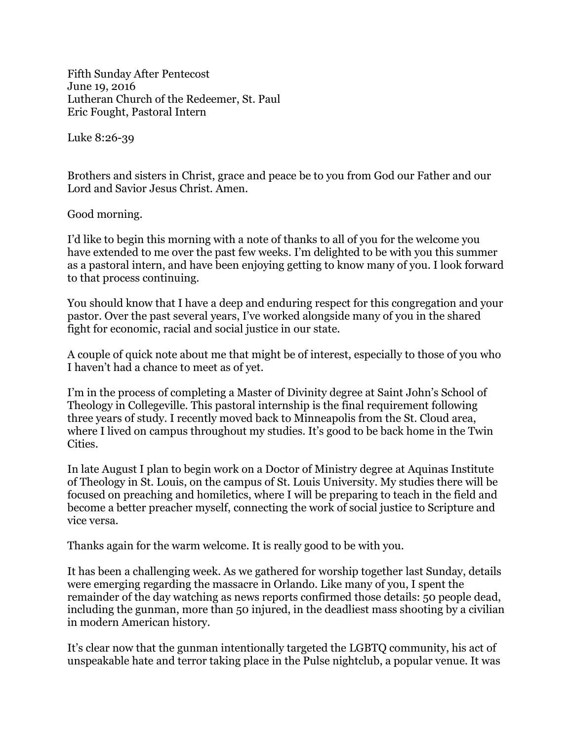Fifth Sunday After Pentecost June 19, 2016 Lutheran Church of the Redeemer, St. Paul Eric Fought, Pastoral Intern

Luke 8:26-39

Brothers and sisters in Christ, grace and peace be to you from God our Father and our Lord and Savior Jesus Christ. Amen.

Good morning.

I'd like to begin this morning with a note of thanks to all of you for the welcome you have extended to me over the past few weeks. I'm delighted to be with you this summer as a pastoral intern, and have been enjoying getting to know many of you. I look forward to that process continuing.

You should know that I have a deep and enduring respect for this congregation and your pastor. Over the past several years, I've worked alongside many of you in the shared fight for economic, racial and social justice in our state.

A couple of quick note about me that might be of interest, especially to those of you who I haven't had a chance to meet as of yet.

I'm in the process of completing a Master of Divinity degree at Saint John's School of Theology in Collegeville. This pastoral internship is the final requirement following three years of study. I recently moved back to Minneapolis from the St. Cloud area, where I lived on campus throughout my studies. It's good to be back home in the Twin Cities.

In late August I plan to begin work on a Doctor of Ministry degree at Aquinas Institute of Theology in St. Louis, on the campus of St. Louis University. My studies there will be focused on preaching and homiletics, where I will be preparing to teach in the field and become a better preacher myself, connecting the work of social justice to Scripture and vice versa.

Thanks again for the warm welcome. It is really good to be with you.

It has been a challenging week. As we gathered for worship together last Sunday, details were emerging regarding the massacre in Orlando. Like many of you, I spent the remainder of the day watching as news reports confirmed those details: 50 people dead, including the gunman, more than 50 injured, in the deadliest mass shooting by a civilian in modern American history.

It's clear now that the gunman intentionally targeted the LGBTQ community, his act of unspeakable hate and terror taking place in the Pulse nightclub, a popular venue. It was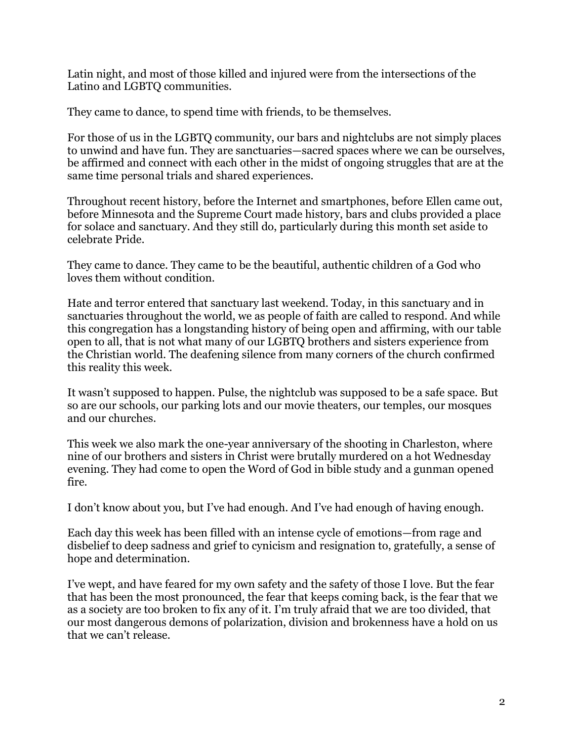Latin night, and most of those killed and injured were from the intersections of the Latino and LGBTQ communities.

They came to dance, to spend time with friends, to be themselves.

For those of us in the LGBTQ community, our bars and nightclubs are not simply places to unwind and have fun. They are sanctuaries—sacred spaces where we can be ourselves, be affirmed and connect with each other in the midst of ongoing struggles that are at the same time personal trials and shared experiences.

Throughout recent history, before the Internet and smartphones, before Ellen came out, before Minnesota and the Supreme Court made history, bars and clubs provided a place for solace and sanctuary. And they still do, particularly during this month set aside to celebrate Pride.

They came to dance. They came to be the beautiful, authentic children of a God who loves them without condition.

Hate and terror entered that sanctuary last weekend. Today, in this sanctuary and in sanctuaries throughout the world, we as people of faith are called to respond. And while this congregation has a longstanding history of being open and affirming, with our table open to all, that is not what many of our LGBTQ brothers and sisters experience from the Christian world. The deafening silence from many corners of the church confirmed this reality this week.

It wasn't supposed to happen. Pulse, the nightclub was supposed to be a safe space. But so are our schools, our parking lots and our movie theaters, our temples, our mosques and our churches.

This week we also mark the one-year anniversary of the shooting in Charleston, where nine of our brothers and sisters in Christ were brutally murdered on a hot Wednesday evening. They had come to open the Word of God in bible study and a gunman opened fire.

I don't know about you, but I've had enough. And I've had enough of having enough.

Each day this week has been filled with an intense cycle of emotions—from rage and disbelief to deep sadness and grief to cynicism and resignation to, gratefully, a sense of hope and determination.

I've wept, and have feared for my own safety and the safety of those I love. But the fear that has been the most pronounced, the fear that keeps coming back, is the fear that we as a society are too broken to fix any of it. I'm truly afraid that we are too divided, that our most dangerous demons of polarization, division and brokenness have a hold on us that we can't release.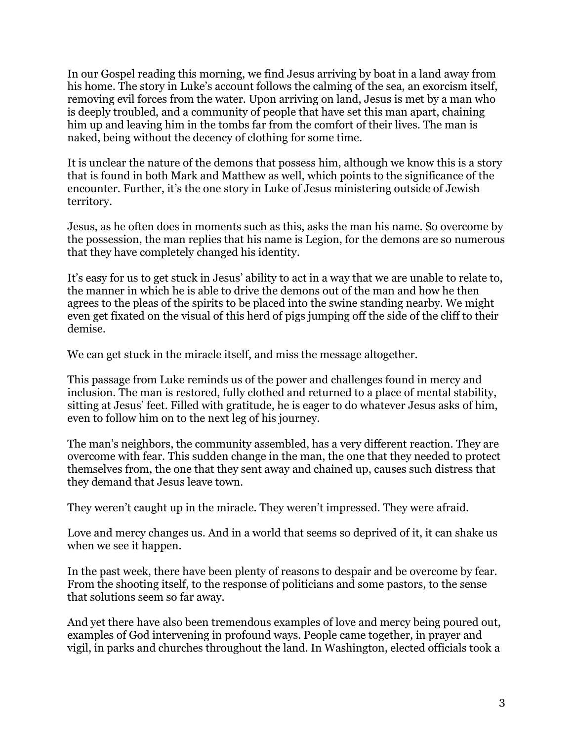In our Gospel reading this morning, we find Jesus arriving by boat in a land away from his home. The story in Luke's account follows the calming of the sea, an exorcism itself, removing evil forces from the water. Upon arriving on land, Jesus is met by a man who is deeply troubled, and a community of people that have set this man apart, chaining him up and leaving him in the tombs far from the comfort of their lives. The man is naked, being without the decency of clothing for some time.

It is unclear the nature of the demons that possess him, although we know this is a story that is found in both Mark and Matthew as well, which points to the significance of the encounter. Further, it's the one story in Luke of Jesus ministering outside of Jewish territory.

Jesus, as he often does in moments such as this, asks the man his name. So overcome by the possession, the man replies that his name is Legion, for the demons are so numerous that they have completely changed his identity.

It's easy for us to get stuck in Jesus' ability to act in a way that we are unable to relate to, the manner in which he is able to drive the demons out of the man and how he then agrees to the pleas of the spirits to be placed into the swine standing nearby. We might even get fixated on the visual of this herd of pigs jumping off the side of the cliff to their demise.

We can get stuck in the miracle itself, and miss the message altogether.

This passage from Luke reminds us of the power and challenges found in mercy and inclusion. The man is restored, fully clothed and returned to a place of mental stability, sitting at Jesus' feet. Filled with gratitude, he is eager to do whatever Jesus asks of him, even to follow him on to the next leg of his journey.

The man's neighbors, the community assembled, has a very different reaction. They are overcome with fear. This sudden change in the man, the one that they needed to protect themselves from, the one that they sent away and chained up, causes such distress that they demand that Jesus leave town.

They weren't caught up in the miracle. They weren't impressed. They were afraid.

Love and mercy changes us. And in a world that seems so deprived of it, it can shake us when we see it happen.

In the past week, there have been plenty of reasons to despair and be overcome by fear. From the shooting itself, to the response of politicians and some pastors, to the sense that solutions seem so far away.

And yet there have also been tremendous examples of love and mercy being poured out, examples of God intervening in profound ways. People came together, in prayer and vigil, in parks and churches throughout the land. In Washington, elected officials took a